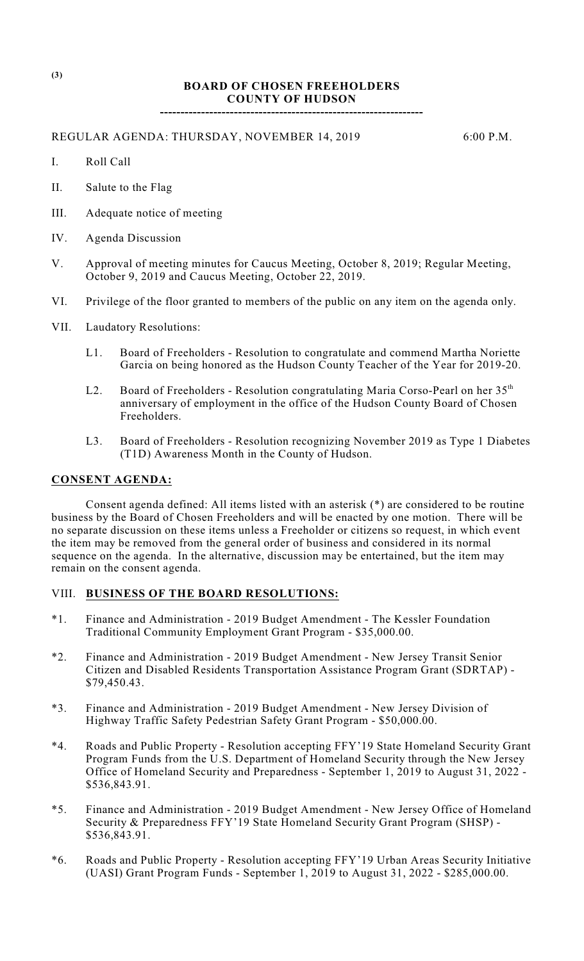## **BOARD OF CHOSEN FREEHOLDERS COUNTY OF HUDSON**

**----------------------------------------------------------------**

REGULAR AGENDA: THURSDAY, NOVEMBER 14, 2019 6:00 P.M.

- I. Roll Call
- II. Salute to the Flag
- III. Adequate notice of meeting
- IV. Agenda Discussion
- V. Approval of meeting minutes for Caucus Meeting, October 8, 2019; Regular Meeting, October 9, 2019 and Caucus Meeting, October 22, 2019.
- VI. Privilege of the floor granted to members of the public on any item on the agenda only.
- VII. Laudatory Resolutions:
	- L1. Board of Freeholders Resolution to congratulate and commend Martha Noriette Garcia on being honored as the Hudson County Teacher of the Year for 2019-20.
	- L2. Board of Freeholders Resolution congratulating Maria Corso-Pearl on her  $35<sup>th</sup>$ anniversary of employment in the office of the Hudson County Board of Chosen Freeholders.
	- L3. Board of Freeholders Resolution recognizing November 2019 as Type 1 Diabetes (T1D) Awareness Month in the County of Hudson.

#### **CONSENT AGENDA:**

Consent agenda defined: All items listed with an asterisk (\*) are considered to be routine business by the Board of Chosen Freeholders and will be enacted by one motion. There will be no separate discussion on these items unless a Freeholder or citizens so request, in which event the item may be removed from the general order of business and considered in its normal sequence on the agenda. In the alternative, discussion may be entertained, but the item may remain on the consent agenda.

## VIII. **BUSINESS OF THE BOARD RESOLUTIONS:**

- \*1. Finance and Administration 2019 Budget Amendment The Kessler Foundation Traditional Community Employment Grant Program - \$35,000.00.
- \*2. Finance and Administration 2019 Budget Amendment New Jersey Transit Senior Citizen and Disabled Residents Transportation Assistance Program Grant (SDRTAP) - \$79,450.43.
- \*3. Finance and Administration 2019 Budget Amendment New Jersey Division of Highway Traffic Safety Pedestrian Safety Grant Program - \$50,000.00.
- \*4. Roads and Public Property Resolution accepting FFY'19 State Homeland Security Grant Program Funds from the U.S. Department of Homeland Security through the New Jersey Office of Homeland Security and Preparedness - September 1, 2019 to August 31, 2022 - \$536,843.91.
- \*5. Finance and Administration 2019 Budget Amendment New Jersey Office of Homeland Security & Preparedness FFY'19 State Homeland Security Grant Program (SHSP) - \$536,843.91.
- \*6. Roads and Public Property Resolution accepting FFY'19 Urban Areas Security Initiative (UASI) Grant Program Funds - September 1, 2019 to August 31, 2022 - \$285,000.00.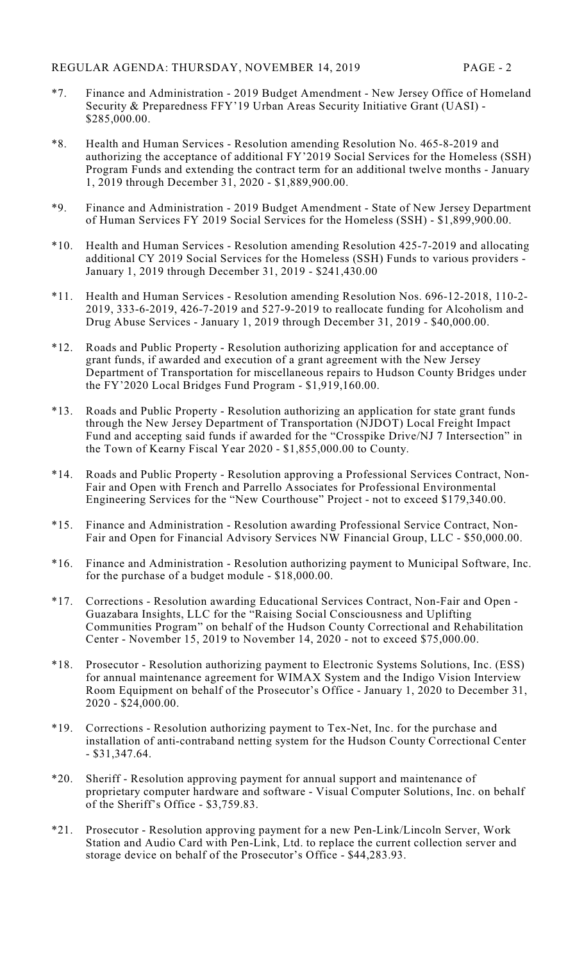- \*7. Finance and Administration 2019 Budget Amendment New Jersey Office of Homeland Security & Preparedness FFY'19 Urban Areas Security Initiative Grant (UASI) - \$285,000.00.
- \*8. Health and Human Services Resolution amending Resolution No. 465-8-2019 and authorizing the acceptance of additional FY'2019 Social Services for the Homeless (SSH) Program Funds and extending the contract term for an additional twelve months - January 1, 2019 through December 31, 2020 - \$1,889,900.00.
- \*9. Finance and Administration 2019 Budget Amendment State of New Jersey Department of Human Services FY 2019 Social Services for the Homeless (SSH) - \$1,899,900.00.
- \*10. Health and Human Services Resolution amending Resolution 425-7-2019 and allocating additional CY 2019 Social Services for the Homeless (SSH) Funds to various providers - January 1, 2019 through December 31, 2019 - \$241,430.00
- \*11. Health and Human Services Resolution amending Resolution Nos. 696-12-2018, 110-2- 2019, 333-6-2019, 426-7-2019 and 527-9-2019 to reallocate funding for Alcoholism and Drug Abuse Services - January 1, 2019 through December 31, 2019 - \$40,000.00.
- \*12. Roads and Public Property Resolution authorizing application for and acceptance of grant funds, if awarded and execution of a grant agreement with the New Jersey Department of Transportation for miscellaneous repairs to Hudson County Bridges under the FY'2020 Local Bridges Fund Program - \$1,919,160.00.
- \*13. Roads and Public Property Resolution authorizing an application for state grant funds through the New Jersey Department of Transportation (NJDOT) Local Freight Impact Fund and accepting said funds if awarded for the "Crosspike Drive/NJ 7 Intersection" in the Town of Kearny Fiscal Year 2020 - \$1,855,000.00 to County.
- \*14. Roads and Public Property Resolution approving a Professional Services Contract, Non-Fair and Open with French and Parrello Associates for Professional Environmental Engineering Services for the "New Courthouse" Project - not to exceed \$179,340.00.
- \*15. Finance and Administration Resolution awarding Professional Service Contract, Non-Fair and Open for Financial Advisory Services NW Financial Group, LLC - \$50,000.00.
- \*16. Finance and Administration Resolution authorizing payment to Municipal Software, Inc. for the purchase of a budget module - \$18,000.00.
- \*17. Corrections Resolution awarding Educational Services Contract, Non-Fair and Open Guazabara Insights, LLC for the "Raising Social Consciousness and Uplifting Communities Program" on behalf of the Hudson County Correctional and Rehabilitation Center - November 15, 2019 to November 14, 2020 - not to exceed \$75,000.00.
- \*18. Prosecutor Resolution authorizing payment to Electronic Systems Solutions, Inc. (ESS) for annual maintenance agreement for WIMAX System and the Indigo Vision Interview Room Equipment on behalf of the Prosecutor's Office - January 1, 2020 to December 31, 2020 - \$24,000.00.
- \*19. Corrections Resolution authorizing payment to Tex-Net, Inc. for the purchase and installation of anti-contraband netting system for the Hudson County Correctional Center - \$31,347.64.
- \*20. Sheriff Resolution approving payment for annual support and maintenance of proprietary computer hardware and software - Visual Computer Solutions, Inc. on behalf of the Sheriff's Office - \$3,759.83.
- \*21. Prosecutor Resolution approving payment for a new Pen-Link/Lincoln Server, Work Station and Audio Card with Pen-Link, Ltd. to replace the current collection server and storage device on behalf of the Prosecutor's Office - \$44,283.93.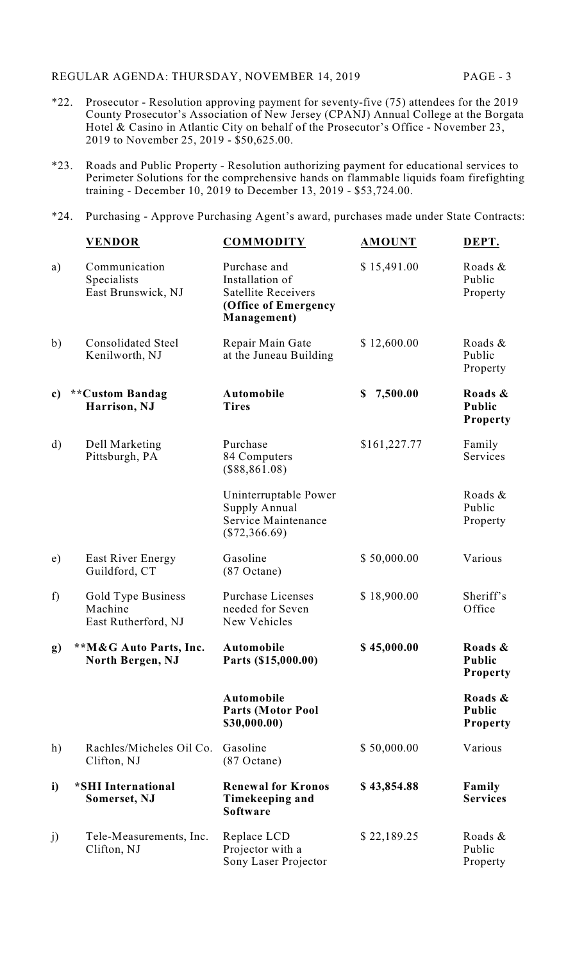REGULAR AGENDA: THURSDAY, NOVEMBER 14, 2019 PAGE - 3

- \*22. Prosecutor Resolution approving payment for seventy-five (75) attendees for the 2019 County Prosecutor's Association of New Jersey (CPANJ) Annual College at the Borgata Hotel & Casino in Atlantic City on behalf of the Prosecutor's Office - November 23, 2019 to November 25, 2019 - \$50,625.00.
- \*23. Roads and Public Property Resolution authorizing payment for educational services to Perimeter Solutions for the comprehensive hands on flammable liquids foam firefighting training - December 10, 2019 to December 13, 2019 - \$53,724.00.
- \*24. Purchasing Approve Purchasing Agent's award, purchases made under State Contracts:

|              | <b>VENDOR</b>                                        | <b>COMMODITY</b>                                                                                     | <b>AMOUNT</b>  | DEPT.                                |
|--------------|------------------------------------------------------|------------------------------------------------------------------------------------------------------|----------------|--------------------------------------|
| a)           | Communication<br>Specialists<br>East Brunswick, NJ   | Purchase and<br>Installation of<br><b>Satellite Receivers</b><br>(Office of Emergency<br>Management) | \$15,491.00    | Roads &<br>Public<br>Property        |
| b)           | <b>Consolidated Steel</b><br>Kenilworth, NJ          | Repair Main Gate<br>at the Juneau Building                                                           | \$12,600.00    | Roads &<br>Public<br>Property        |
| c)           | **Custom Bandag<br>Harrison, NJ                      | Automobile<br><b>Tires</b>                                                                           | 7,500.00<br>\$ | Roads &<br>Public<br>Property        |
| $\mathbf{d}$ | Dell Marketing<br>Pittsburgh, PA                     | Purchase<br>84 Computers<br>$(\$88,861.08)$                                                          | \$161,227.77   | Family<br>Services                   |
|              |                                                      | Uninterruptable Power<br>Supply Annual<br>Service Maintenance<br>$(\$72,366.69)$                     |                | Roads &<br>Public<br>Property        |
| e)           | East River Energy<br>Guildford, CT                   | Gasoline<br>$(87$ Octane)                                                                            | \$50,000.00    | Various                              |
| f)           | Gold Type Business<br>Machine<br>East Rutherford, NJ | <b>Purchase Licenses</b><br>needed for Seven<br>New Vehicles                                         | \$18,900.00    | Sheriff's<br>Office                  |
| g)           | **M&G Auto Parts, Inc.<br>North Bergen, NJ           | <b>Automobile</b><br>Parts (\$15,000.00)                                                             | \$45,000.00    | Roads &<br>Public<br><b>Property</b> |
|              |                                                      | Automobile<br><b>Parts (Motor Pool</b><br>\$30,000.00)                                               |                | Roads &<br><b>Public</b><br>Property |
| h)           | Rachles/Micheles Oil Co.<br>Clifton, NJ              | Gasoline<br>$(87$ Octane)                                                                            | \$50,000.00    | Various                              |
| i)           | *SHI International<br>Somerset, NJ                   | <b>Renewal for Kronos</b><br>Timekeeping and<br>Software                                             | \$43,854.88    | Family<br><b>Services</b>            |
| j)           | Tele-Measurements, Inc.<br>Clifton, NJ               | Replace LCD<br>Projector with a<br>Sony Laser Projector                                              | \$22,189.25    | Roads &<br>Public<br>Property        |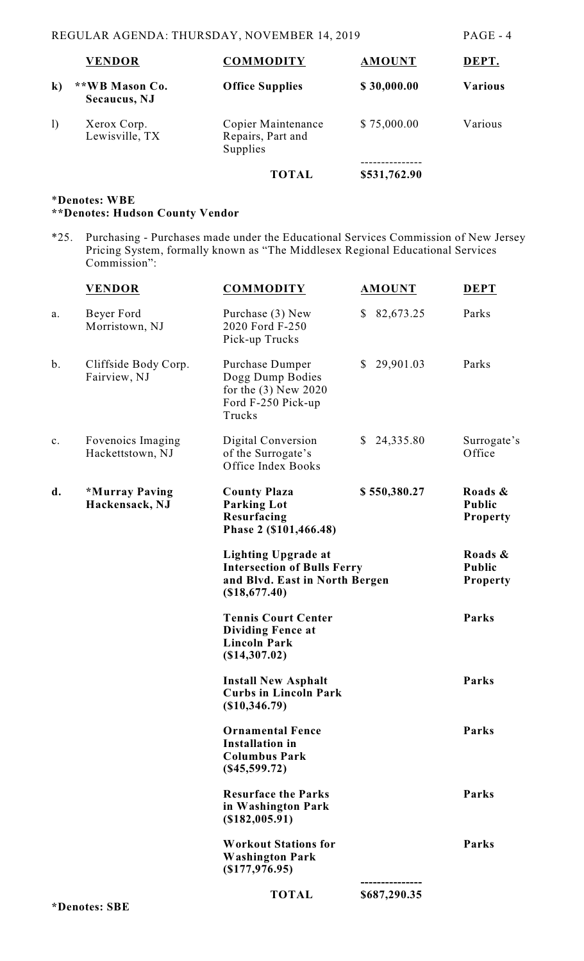|                        | <b>VENDOR</b>                  | <b>COMMODITY</b>                                    | <b>AMOUNT</b> | DEPT.          |
|------------------------|--------------------------------|-----------------------------------------------------|---------------|----------------|
| $\bf k)$               | **WB Mason Co.<br>Secaucus, NJ | <b>Office Supplies</b>                              | \$30,000.00   | <b>Various</b> |
| $\left  \right\rangle$ | Xerox Corp.<br>Lewisville, TX  | Copier Maintenance<br>Repairs, Part and<br>Supplies | \$75,000.00   | Various        |
|                        |                                | TOTAL                                               | \$531,762.90  |                |

# \***Denotes: WBE \*\*Denotes: Hudson County Vendor**

\*25. Purchasing - Purchases made under the Educational Services Commission of New Jersey Pricing System, formally known as "The Middlesex Regional Educational Services Commission":

|                | <b>VENDOR</b>                         | <b>COMMODITY</b>                                                                                                    | <b>AMOUNT</b>             | <b>DEPT</b>                                 |
|----------------|---------------------------------------|---------------------------------------------------------------------------------------------------------------------|---------------------------|---------------------------------------------|
| a.             | Beyer Ford<br>Morristown, NJ          | Purchase (3) New<br>2020 Ford F-250<br>Pick-up Trucks                                                               | 82,673.25<br><sup>S</sup> | Parks                                       |
| b.             | Cliffside Body Corp.<br>Fairview, NJ  | Purchase Dumper<br>Dogg Dump Bodies<br>for the $(3)$ New 2020<br>Ford F-250 Pick-up<br>Trucks                       | 29,901.03<br>$\mathbb{S}$ | Parks                                       |
| $\mathbf{c}$ . | Fovenoics Imaging<br>Hackettstown, NJ | Digital Conversion<br>of the Surrogate's<br>Office Index Books                                                      | 24,335.80<br>\$           | Surrogate's<br>Office                       |
| d.             | *Murray Paving<br>Hackensack, NJ      | <b>County Plaza</b><br><b>Parking Lot</b><br>Resurfacing<br>Phase 2 (\$101,466.48)                                  | \$550,380.27              | Roads &<br><b>Public</b><br><b>Property</b> |
|                |                                       | <b>Lighting Upgrade at</b><br><b>Intersection of Bulls Ferry</b><br>and Blvd. East in North Bergen<br>(\$18,677.40) |                           | Roads &<br><b>Public</b><br><b>Property</b> |
|                |                                       | <b>Tennis Court Center</b><br><b>Dividing Fence at</b><br><b>Lincoln Park</b><br>$(\$14,307.02)$                    |                           | Parks                                       |
|                |                                       | <b>Install New Asphalt</b><br><b>Curbs in Lincoln Park</b><br>(\$10,346.79)                                         |                           | Parks                                       |
|                |                                       | <b>Ornamental Fence</b><br><b>Installation in</b><br><b>Columbus Park</b><br>(\$45,599.72)                          |                           | Parks                                       |
|                |                                       | <b>Resurface the Parks</b><br>in Washington Park<br>(\$182,005.91)                                                  |                           | Parks                                       |
|                |                                       | <b>Workout Stations for</b><br><b>Washington Park</b><br>$($ \$177,976.95)                                          |                           | Parks                                       |
|                |                                       | <b>TOTAL</b>                                                                                                        | \$687,290.35              |                                             |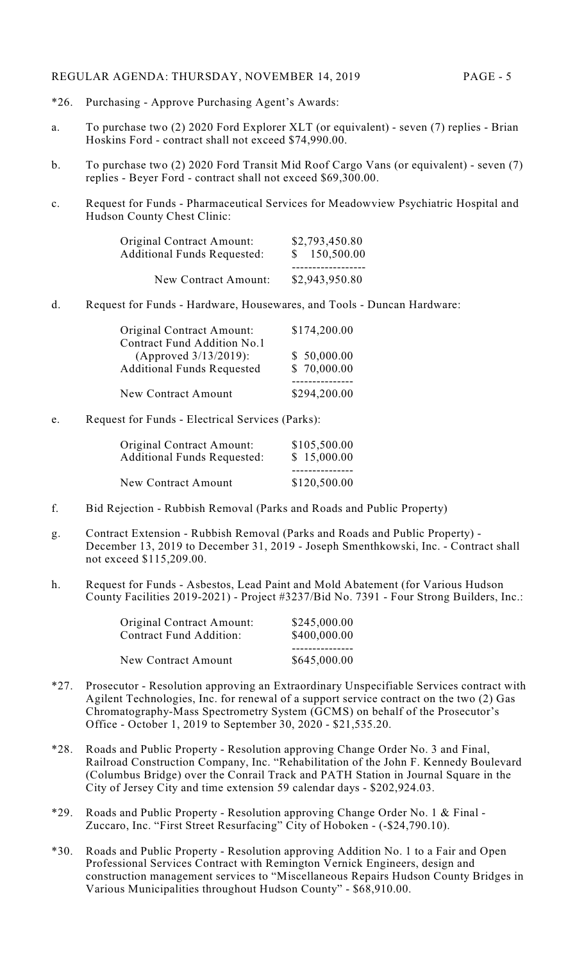#### REGULAR AGENDA: THURSDAY, NOVEMBER 14, 2019 PAGE - 5

- \*26. Purchasing Approve Purchasing Agent's Awards:
- a. To purchase two (2) 2020 Ford Explorer XLT (or equivalent) seven (7) replies Brian Hoskins Ford - contract shall not exceed \$74,990.00.
- b. To purchase two (2) 2020 Ford Transit Mid Roof Cargo Vans (or equivalent) seven (7) replies - Beyer Ford - contract shall not exceed \$69,300.00.
- c. Request for Funds Pharmaceutical Services for Meadowview Psychiatric Hospital and Hudson County Chest Clinic:

| <b>Original Contract Amount:</b>   | \$2,793,450.80 |  |
|------------------------------------|----------------|--|
| <b>Additional Funds Requested:</b> | \$150,500.00   |  |
| New Contract Amount:               | \$2,943,950.80 |  |

d. Request for Funds - Hardware, Housewares, and Tools - Duncan Hardware:

| Original Contract Amount:         | \$174,200.00 |
|-----------------------------------|--------------|
| Contract Fund Addition No.1       |              |
| (Approved 3/13/2019):             | \$50,000.00  |
| <b>Additional Funds Requested</b> | \$70,000.00  |
|                                   |              |
| <b>New Contract Amount</b>        | \$294,200.00 |

e. Request for Funds - Electrical Services (Parks):

| Original Contract Amount:          | \$105,500.00 |  |
|------------------------------------|--------------|--|
| <b>Additional Funds Requested:</b> | \$15,000.00  |  |
| New Contract Amount                | \$120,500.00 |  |

- f. Bid Rejection Rubbish Removal (Parks and Roads and Public Property)
- g. Contract Extension Rubbish Removal (Parks and Roads and Public Property) December 13, 2019 to December 31, 2019 - Joseph Smenthkowski, Inc. - Contract shall not exceed \$115,209.00.
- h. Request for Funds Asbestos, Lead Paint and Mold Abatement (for Various Hudson County Facilities 2019-2021) - Project #3237/Bid No. 7391 - Four Strong Builders, Inc.:

| <b>Original Contract Amount:</b> | \$245,000.00 |
|----------------------------------|--------------|
| <b>Contract Fund Addition:</b>   | \$400,000.00 |
| <b>New Contract Amount</b>       | \$645,000.00 |

- \*27. Prosecutor Resolution approving an Extraordinary Unspecifiable Services contract with Agilent Technologies, Inc. for renewal of a support service contract on the two (2) Gas Chromatography-Mass Spectrometry System (GCMS) on behalf of the Prosecutor's Office - October 1, 2019 to September 30, 2020 - \$21,535.20.
- \*28. Roads and Public Property Resolution approving Change Order No. 3 and Final, Railroad Construction Company, Inc. "Rehabilitation of the John F. Kennedy Boulevard (Columbus Bridge) over the Conrail Track and PATH Station in Journal Square in the City of Jersey City and time extension 59 calendar days - \$202,924.03.
- \*29. Roads and Public Property Resolution approving Change Order No. 1 & Final Zuccaro, Inc. "First Street Resurfacing" City of Hoboken - (-\$24,790.10).
- \*30. Roads and Public Property Resolution approving Addition No. 1 to a Fair and Open Professional Services Contract with Remington Vernick Engineers, design and construction management services to "Miscellaneous Repairs Hudson County Bridges in Various Municipalities throughout Hudson County" - \$68,910.00.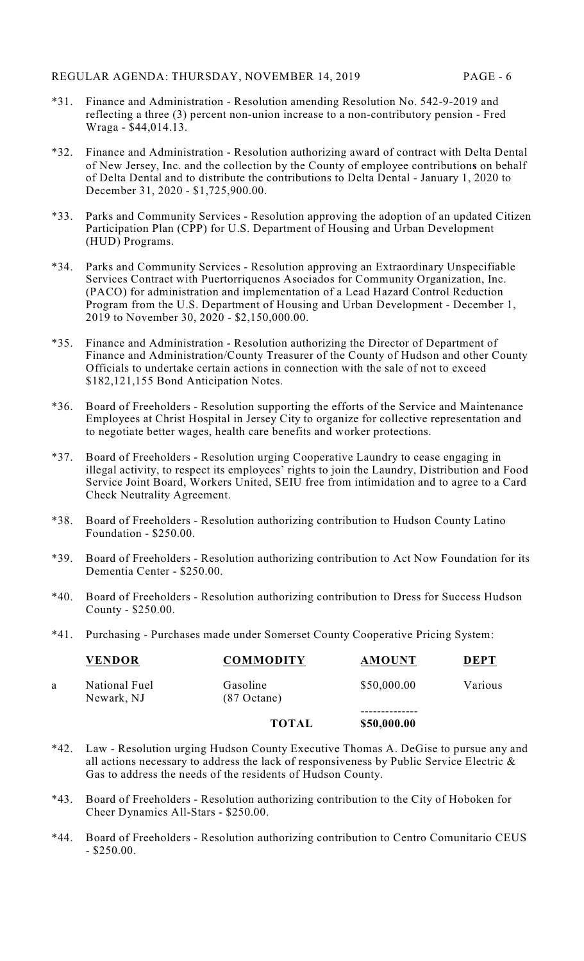- \*31. Finance and Administration Resolution amending Resolution No. 542-9-2019 and reflecting a three (3) percent non-union increase to a non-contributory pension - Fred Wraga - \$44,014.13.
- \*32. Finance and Administration Resolution authorizing award of contract with Delta Dental of New Jersey, Inc. and the collection by the County of employee contribution**s** on behalf of Delta Dental and to distribute the contributions to Delta Dental - January 1, 2020 to December 31, 2020 - \$1,725,900.00.
- \*33. Parks and Community Services Resolution approving the adoption of an updated Citizen Participation Plan (CPP) for U.S. Department of Housing and Urban Development (HUD) Programs.
- \*34. Parks and Community Services Resolution approving an Extraordinary Unspecifiable Services Contract with Puertorriquenos Asociados for Community Organization, Inc. (PACO) for administration and implementation of a Lead Hazard Control Reduction Program from the U.S. Department of Housing and Urban Development - December 1, 2019 to November 30, 2020 - \$2,150,000.00.
- \*35. Finance and Administration Resolution authorizing the Director of Department of Finance and Administration/County Treasurer of the County of Hudson and other County Officials to undertake certain actions in connection with the sale of not to exceed \$182,121,155 Bond Anticipation Notes.
- \*36. Board of Freeholders Resolution supporting the efforts of the Service and Maintenance Employees at Christ Hospital in Jersey City to organize for collective representation and to negotiate better wages, health care benefits and worker protections.
- \*37. Board of Freeholders Resolution urging Cooperative Laundry to cease engaging in illegal activity, to respect its employees' rights to join the Laundry, Distribution and Food Service Joint Board, Workers United, SEIU free from intimidation and to agree to a Card Check Neutrality Agreement.
- \*38. Board of Freeholders Resolution authorizing contribution to Hudson County Latino Foundation - \$250.00.
- \*39. Board of Freeholders Resolution authorizing contribution to Act Now Foundation for its Dementia Center - \$250.00.
- \*40. Board of Freeholders Resolution authorizing contribution to Dress for Success Hudson County - \$250.00.
- \*41. Purchasing Purchases made under Somerset County Cooperative Pricing System:

|   | <b>VENDOR</b>               | <b>COMMODITY</b>          | <b>AMOUNT</b> | <b>DEPT</b> |
|---|-----------------------------|---------------------------|---------------|-------------|
| a | National Fuel<br>Newark, NJ | Gasoline<br>$(87$ Octane) | \$50,000.00   | Various     |
|   |                             | <b>TOTAL</b>              | \$50,000.00   |             |

- \*42. Law Resolution urging Hudson County Executive Thomas A. DeGise to pursue any and all actions necessary to address the lack of responsiveness by Public Service Electric  $\&$ Gas to address the needs of the residents of Hudson County.
- \*43. Board of Freeholders Resolution authorizing contribution to the City of Hoboken for Cheer Dynamics All-Stars - \$250.00.
- \*44. Board of Freeholders Resolution authorizing contribution to Centro Comunitario CEUS  $-$  \$250.00.